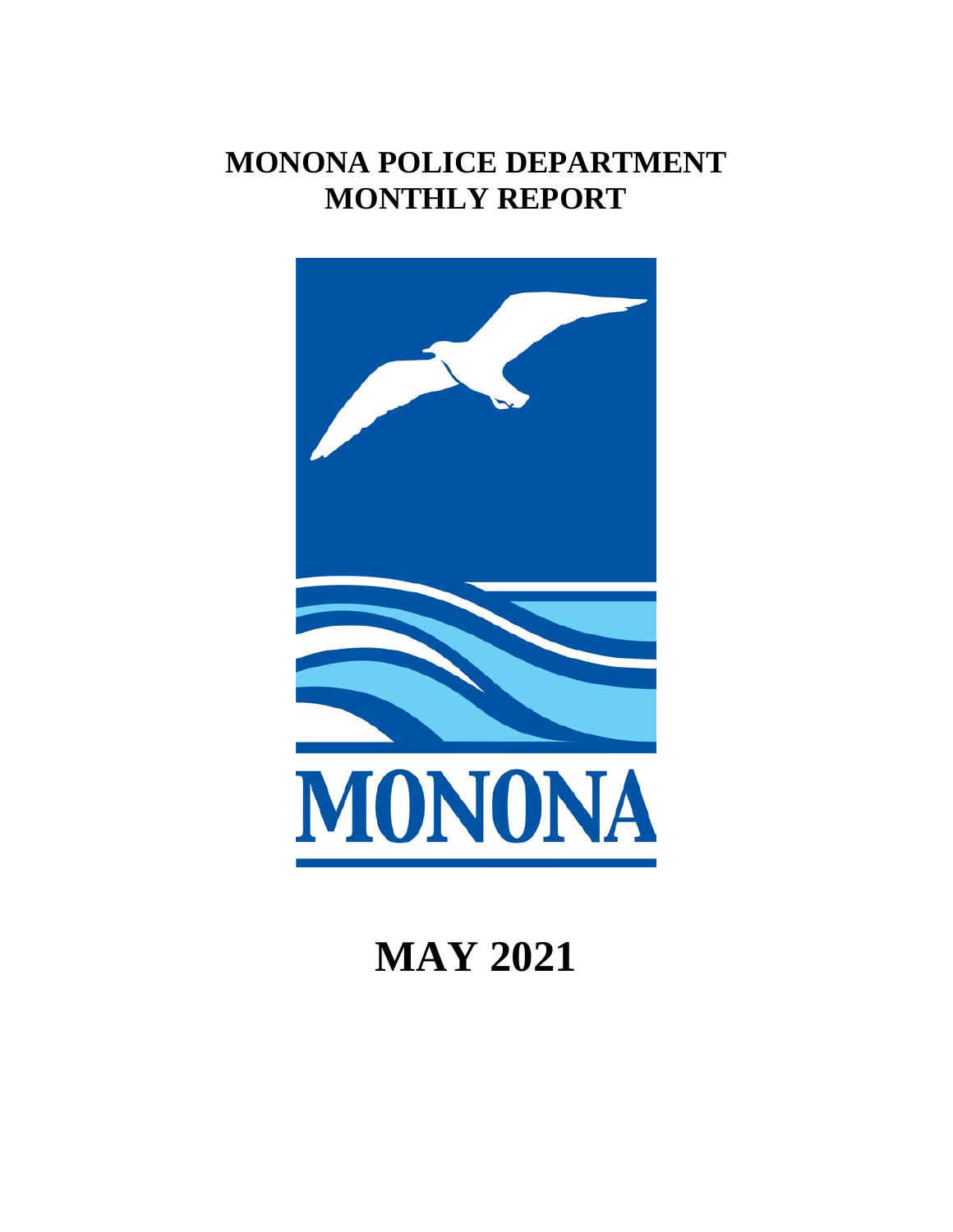# **MONONA POLICE DEPARTMENT MONTHLY REPORT**



# **MAY 2021**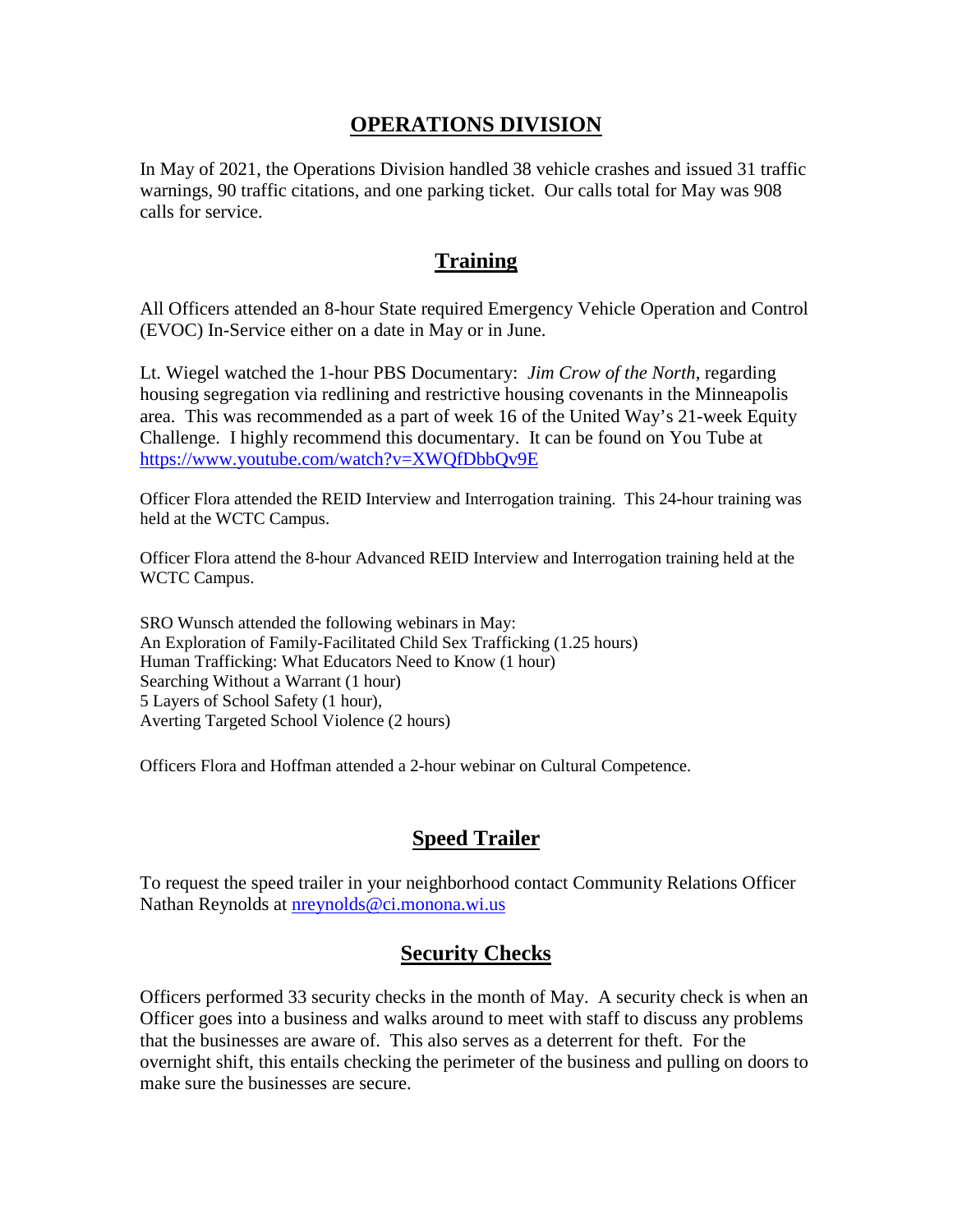#### **OPERATIONS DIVISION**

In May of 2021, the Operations Division handled 38 vehicle crashes and issued 31 traffic warnings, 90 traffic citations, and one parking ticket. Our calls total for May was 908 calls for service.

#### **Training**

All Officers attended an 8-hour State required Emergency Vehicle Operation and Control (EVOC) In-Service either on a date in May or in June.

Lt. Wiegel watched the 1-hour PBS Documentary: *Jim Crow of the North*, regarding housing segregation via redlining and restrictive housing covenants in the Minneapolis area. This was recommended as a part of week 16 of the United Way's 21-week Equity Challenge. I highly recommend this documentary. It can be found on You Tube at <https://www.youtube.com/watch?v=XWQfDbbQv9E>

Officer Flora attended the REID Interview and Interrogation training. This 24-hour training was held at the WCTC Campus.

Officer Flora attend the 8-hour Advanced REID Interview and Interrogation training held at the WCTC Campus.

SRO Wunsch attended the following webinars in May: An Exploration of Family-Facilitated Child Sex Trafficking (1.25 hours) Human Trafficking: What Educators Need to Know (1 hour) Searching Without a Warrant (1 hour) 5 Layers of School Safety (1 hour), Averting Targeted School Violence (2 hours)

Officers Flora and Hoffman attended a 2-hour webinar on Cultural Competence.

### **Speed Trailer**

To request the speed trailer in your neighborhood contact Community Relations Officer Nathan Reynolds at [nreynolds@ci.monona.wi.us](mailto:nreynolds@ci.monona.wi.us)

### **Security Checks**

Officers performed 33 security checks in the month of May. A security check is when an Officer goes into a business and walks around to meet with staff to discuss any problems that the businesses are aware of. This also serves as a deterrent for theft. For the overnight shift, this entails checking the perimeter of the business and pulling on doors to make sure the businesses are secure.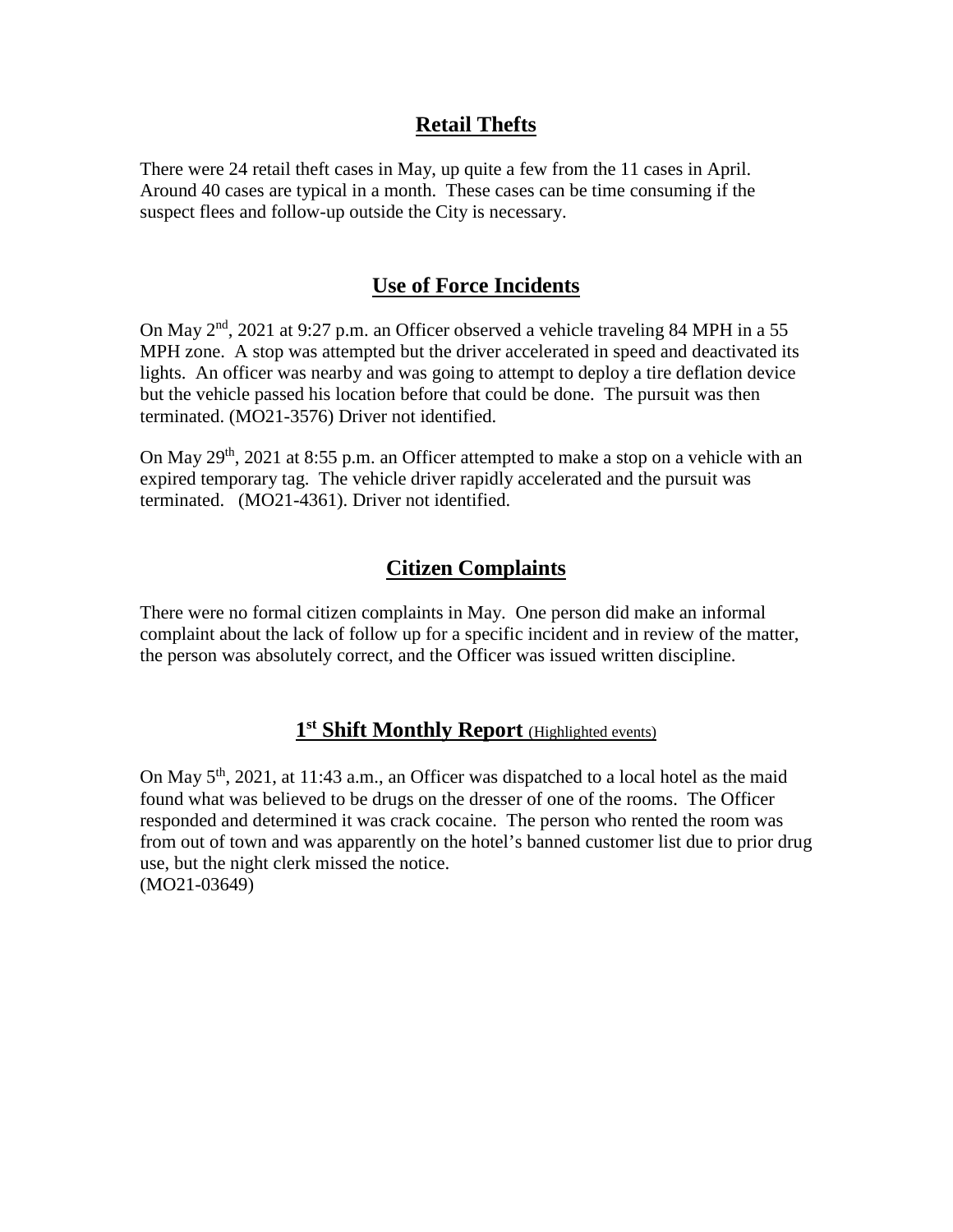#### **Retail Thefts**

There were 24 retail theft cases in May, up quite a few from the 11 cases in April. Around 40 cases are typical in a month. These cases can be time consuming if the suspect flees and follow-up outside the City is necessary.

# **Use of Force Incidents**

On May  $2<sup>nd</sup>$ , 2021 at 9:27 p.m. an Officer observed a vehicle traveling 84 MPH in a 55 MPH zone. A stop was attempted but the driver accelerated in speed and deactivated its lights. An officer was nearby and was going to attempt to deploy a tire deflation device but the vehicle passed his location before that could be done. The pursuit was then terminated. (MO21-3576) Driver not identified.

On May  $29<sup>th</sup>$ ,  $2021$  at 8:55 p.m. an Officer attempted to make a stop on a vehicle with an expired temporary tag. The vehicle driver rapidly accelerated and the pursuit was terminated. (MO21-4361). Driver not identified.

# **Citizen Complaints**

There were no formal citizen complaints in May. One person did make an informal complaint about the lack of follow up for a specific incident and in review of the matter, the person was absolutely correct, and the Officer was issued written discipline.

# **1st Shift Monthly Report** (Highlighted events)

On May  $5<sup>th</sup>$ , 2021, at 11:43 a.m., an Officer was dispatched to a local hotel as the maid found what was believed to be drugs on the dresser of one of the rooms. The Officer responded and determined it was crack cocaine. The person who rented the room was from out of town and was apparently on the hotel's banned customer list due to prior drug use, but the night clerk missed the notice. (MO21-03649)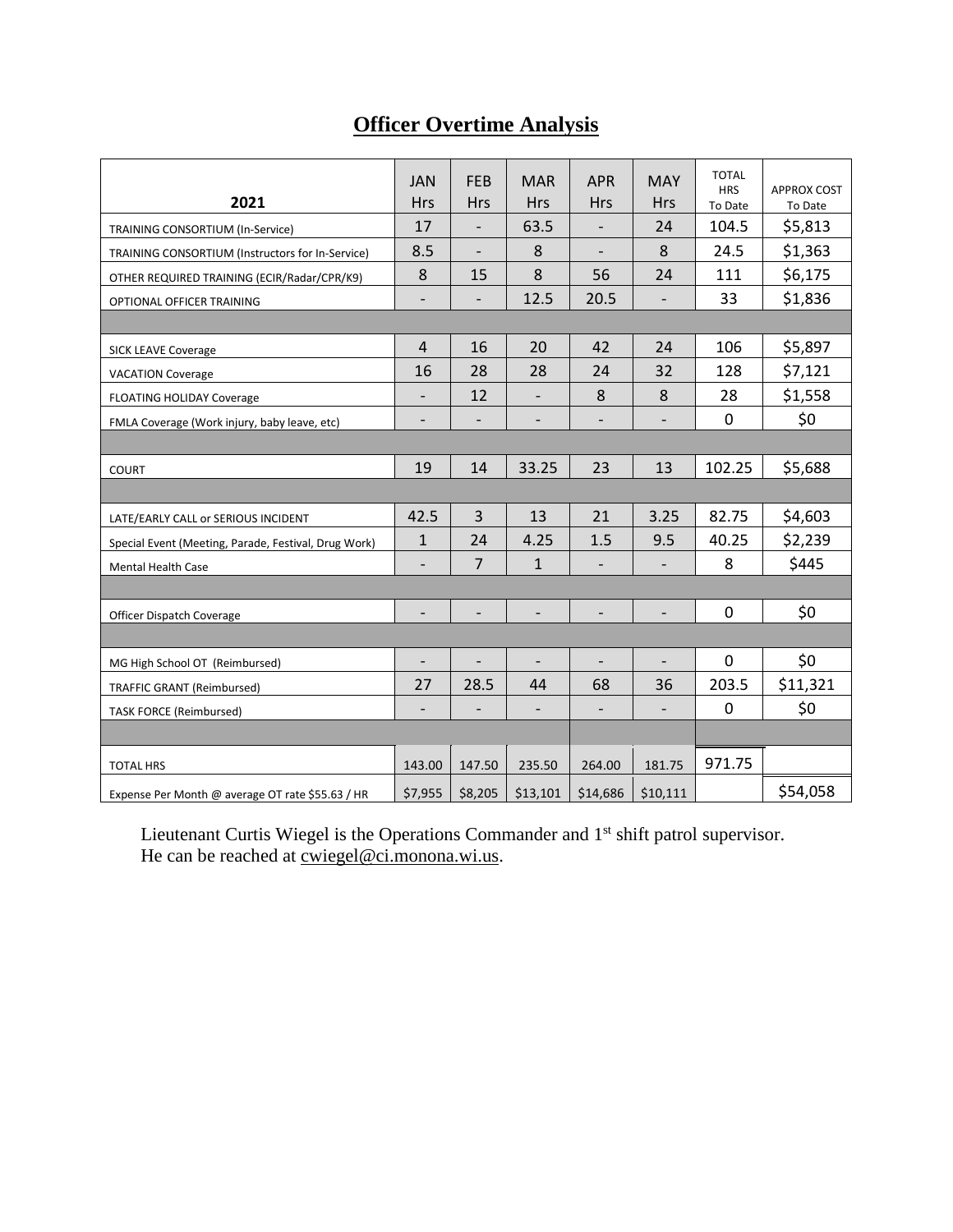# **Officer Overtime Analysis**

|                                                      |                              |                          |                          |                          |                              | <b>TOTAL</b> |                    |
|------------------------------------------------------|------------------------------|--------------------------|--------------------------|--------------------------|------------------------------|--------------|--------------------|
|                                                      | <b>JAN</b>                   | <b>FEB</b>               | <b>MAR</b>               | <b>APR</b>               | <b>MAY</b>                   | <b>HRS</b>   | <b>APPROX COST</b> |
| 2021                                                 | <b>Hrs</b>                   | <b>Hrs</b>               | <b>Hrs</b>               | <b>Hrs</b>               | <b>Hrs</b>                   | To Date      | To Date            |
| TRAINING CONSORTIUM (In-Service)                     | 17                           |                          | 63.5                     |                          | 24                           | 104.5        | \$5,813            |
| TRAINING CONSORTIUM (Instructors for In-Service)     | 8.5                          |                          | 8                        |                          | 8                            | 24.5         | \$1,363            |
| OTHER REQUIRED TRAINING (ECIR/Radar/CPR/K9)          | 8                            | 15                       | 8                        | 56                       | 24                           | 111          | \$6,175            |
| OPTIONAL OFFICER TRAINING                            | $\overline{\phantom{a}}$     |                          | 12.5                     | 20.5                     | $\overline{\phantom{a}}$     | 33           | \$1,836            |
|                                                      |                              |                          |                          |                          |                              |              |                    |
| <b>SICK LEAVE Coverage</b>                           | $\overline{\mathbf{4}}$      | 16                       | 20                       | 42                       | 24                           | 106          | \$5,897            |
| <b>VACATION Coverage</b>                             | 16                           | 28                       | 28                       | 24                       | 32                           | 128          | \$7,121            |
| FLOATING HOLIDAY Coverage                            | $\overline{\phantom{0}}$     | 12                       |                          | 8                        | 8                            | 28           | \$1,558            |
| FMLA Coverage (Work injury, baby leave, etc)         | $\overline{\phantom{a}}$     | $\overline{\phantom{a}}$ | $\overline{\phantom{a}}$ | $\overline{\phantom{a}}$ | $\overline{\phantom{a}}$     | $\mathbf 0$  | \$0                |
|                                                      |                              |                          |                          |                          |                              |              |                    |
| <b>COURT</b>                                         | 19                           | 14                       | 33.25                    | 23                       | 13                           | 102.25       | \$5,688            |
|                                                      |                              |                          |                          |                          |                              |              |                    |
| LATE/EARLY CALL or SERIOUS INCIDENT                  | 42.5                         | 3                        | 13                       | 21                       | 3.25                         | 82.75        | \$4,603            |
| Special Event (Meeting, Parade, Festival, Drug Work) | 1                            | 24                       | 4.25                     | 1.5                      | 9.5                          | 40.25        | \$2,239            |
| <b>Mental Health Case</b>                            | $\qquad \qquad -$            | $\overline{7}$           | $\mathbf{1}$             |                          |                              | 8            | \$445              |
|                                                      |                              |                          |                          |                          |                              |              |                    |
| Officer Dispatch Coverage                            | $\qquad \qquad -$            | $\qquad \qquad -$        | $\overline{\phantom{a}}$ | $\overline{\phantom{a}}$ | $\qquad \qquad \blacksquare$ | 0            | \$0                |
|                                                      |                              |                          |                          |                          |                              |              |                    |
| MG High School OT (Reimbursed)                       | $\qquad \qquad \blacksquare$ |                          |                          |                          |                              | 0            | \$0                |
| <b>TRAFFIC GRANT (Reimbursed)</b>                    | 27                           | 28.5                     | 44                       | 68                       | 36                           | 203.5        | \$11,321           |
| <b>TASK FORCE (Reimbursed)</b>                       | $\overline{\phantom{a}}$     |                          |                          |                          |                              | 0            | \$0                |
|                                                      |                              |                          |                          |                          |                              |              |                    |
| <b>TOTAL HRS</b>                                     | 143.00                       | 147.50                   | 235.50                   | 264.00                   | 181.75                       | 971.75       |                    |
| Expense Per Month @ average OT rate \$55.63 / HR     | \$7,955                      | \$8,205                  | \$13,101                 | \$14,686                 | \$10,111                     |              | \$54,058           |

Lieutenant Curtis Wiegel is the Operations Commander and 1<sup>st</sup> shift patrol supervisor. He can be reached at <u>cwiegel@ci.monona.wi.us</u>.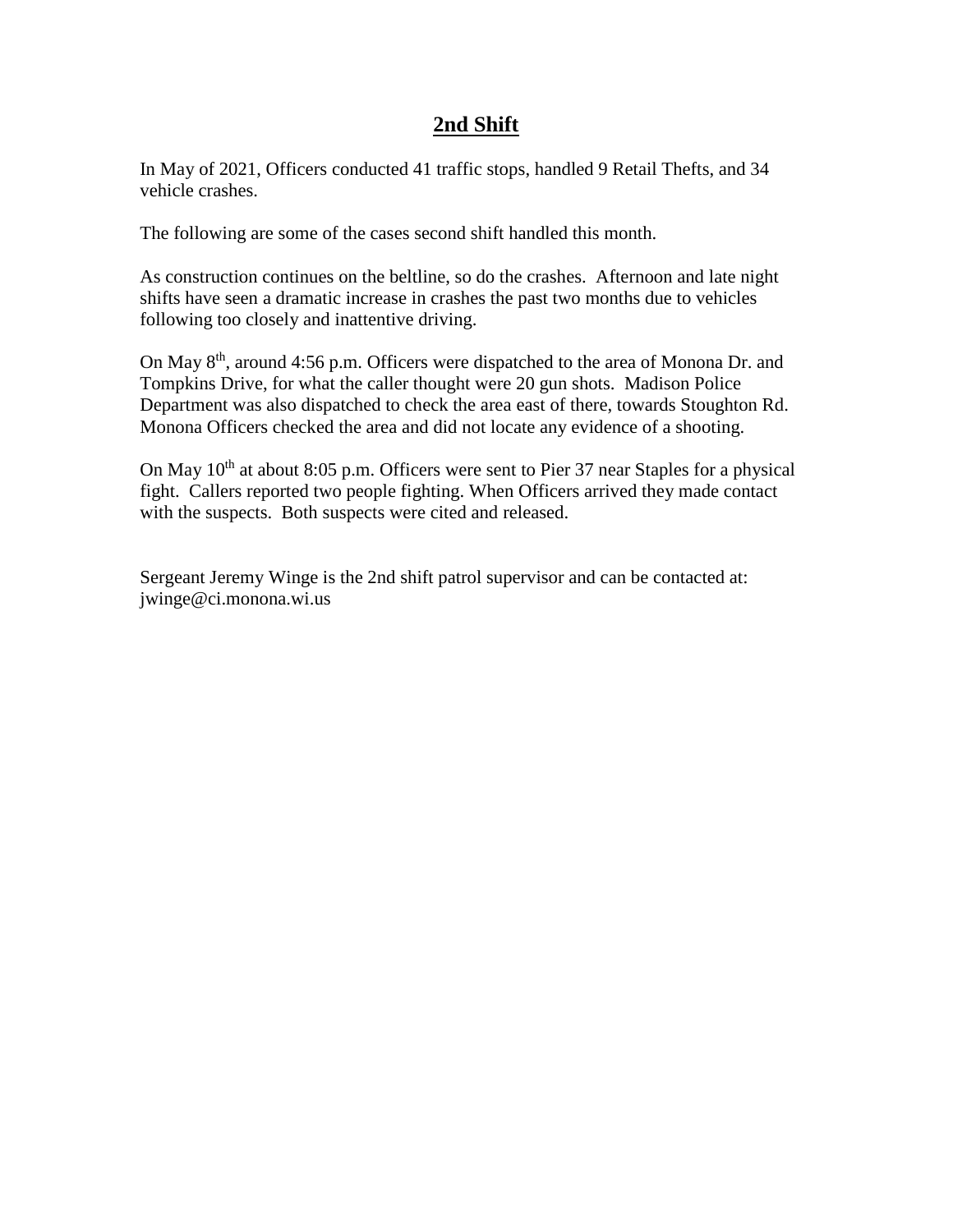#### **2nd Shift**

In May of 2021, Officers conducted 41 traffic stops, handled 9 Retail Thefts, and 34 vehicle crashes.

The following are some of the cases second shift handled this month.

As construction continues on the beltline, so do the crashes. Afternoon and late night shifts have seen a dramatic increase in crashes the past two months due to vehicles following too closely and inattentive driving.

On May  $8<sup>th</sup>$ , around 4:56 p.m. Officers were dispatched to the area of Monona Dr. and Tompkins Drive, for what the caller thought were 20 gun shots. Madison Police Department was also dispatched to check the area east of there, towards Stoughton Rd. Monona Officers checked the area and did not locate any evidence of a shooting.

On May 10<sup>th</sup> at about 8:05 p.m. Officers were sent to Pier 37 near Staples for a physical fight. Callers reported two people fighting. When Officers arrived they made contact with the suspects. Both suspects were cited and released.

Sergeant Jeremy Winge is the 2nd shift patrol supervisor and can be contacted at: jwinge@ci.monona.wi.us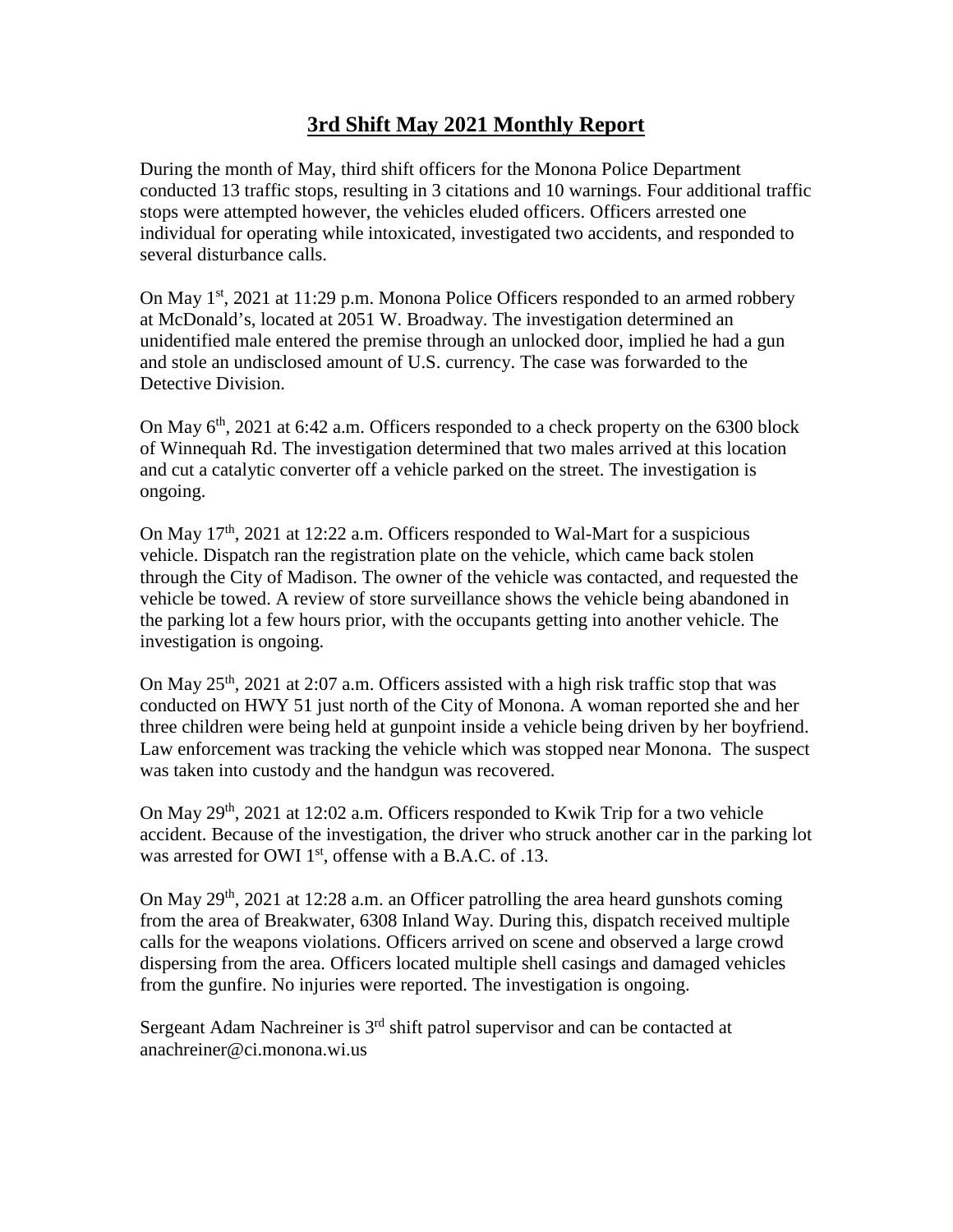# **3rd Shift May 2021 Monthly Report**

During the month of May, third shift officers for the Monona Police Department conducted 13 traffic stops, resulting in 3 citations and 10 warnings. Four additional traffic stops were attempted however, the vehicles eluded officers. Officers arrested one individual for operating while intoxicated, investigated two accidents, and responded to several disturbance calls.

On May  $1^{st}$ , 2021 at 11:29 p.m. Monona Police Officers responded to an armed robbery at McDonald's, located at 2051 W. Broadway. The investigation determined an unidentified male entered the premise through an unlocked door, implied he had a gun and stole an undisclosed amount of U.S. currency. The case was forwarded to the Detective Division.

On May  $6<sup>th</sup>$ , 2021 at 6:42 a.m. Officers responded to a check property on the 6300 block of Winnequah Rd. The investigation determined that two males arrived at this location and cut a catalytic converter off a vehicle parked on the street. The investigation is ongoing.

On May  $17<sup>th</sup>$ , 2021 at 12:22 a.m. Officers responded to Wal-Mart for a suspicious vehicle. Dispatch ran the registration plate on the vehicle, which came back stolen through the City of Madison. The owner of the vehicle was contacted, and requested the vehicle be towed. A review of store surveillance shows the vehicle being abandoned in the parking lot a few hours prior, with the occupants getting into another vehicle. The investigation is ongoing.

On May  $25<sup>th</sup>$ , 2021 at 2:07 a.m. Officers assisted with a high risk traffic stop that was conducted on HWY 51 just north of the City of Monona. A woman reported she and her three children were being held at gunpoint inside a vehicle being driven by her boyfriend. Law enforcement was tracking the vehicle which was stopped near Monona. The suspect was taken into custody and the handgun was recovered.

On May 29<sup>th</sup>, 2021 at 12:02 a.m. Officers responded to Kwik Trip for a two vehicle accident. Because of the investigation, the driver who struck another car in the parking lot was arrested for OWI  $1<sup>st</sup>$ , offense with a B.A.C. of .13.

On May  $29<sup>th</sup>$ , 2021 at 12:28 a.m. an Officer patrolling the area heard gunshots coming from the area of Breakwater, 6308 Inland Way. During this, dispatch received multiple calls for the weapons violations. Officers arrived on scene and observed a large crowd dispersing from the area. Officers located multiple shell casings and damaged vehicles from the gunfire. No injuries were reported. The investigation is ongoing.

Sergeant Adam Nachreiner is 3<sup>rd</sup> shift patrol supervisor and can be contacted at anachreiner@ci.monona.wi.us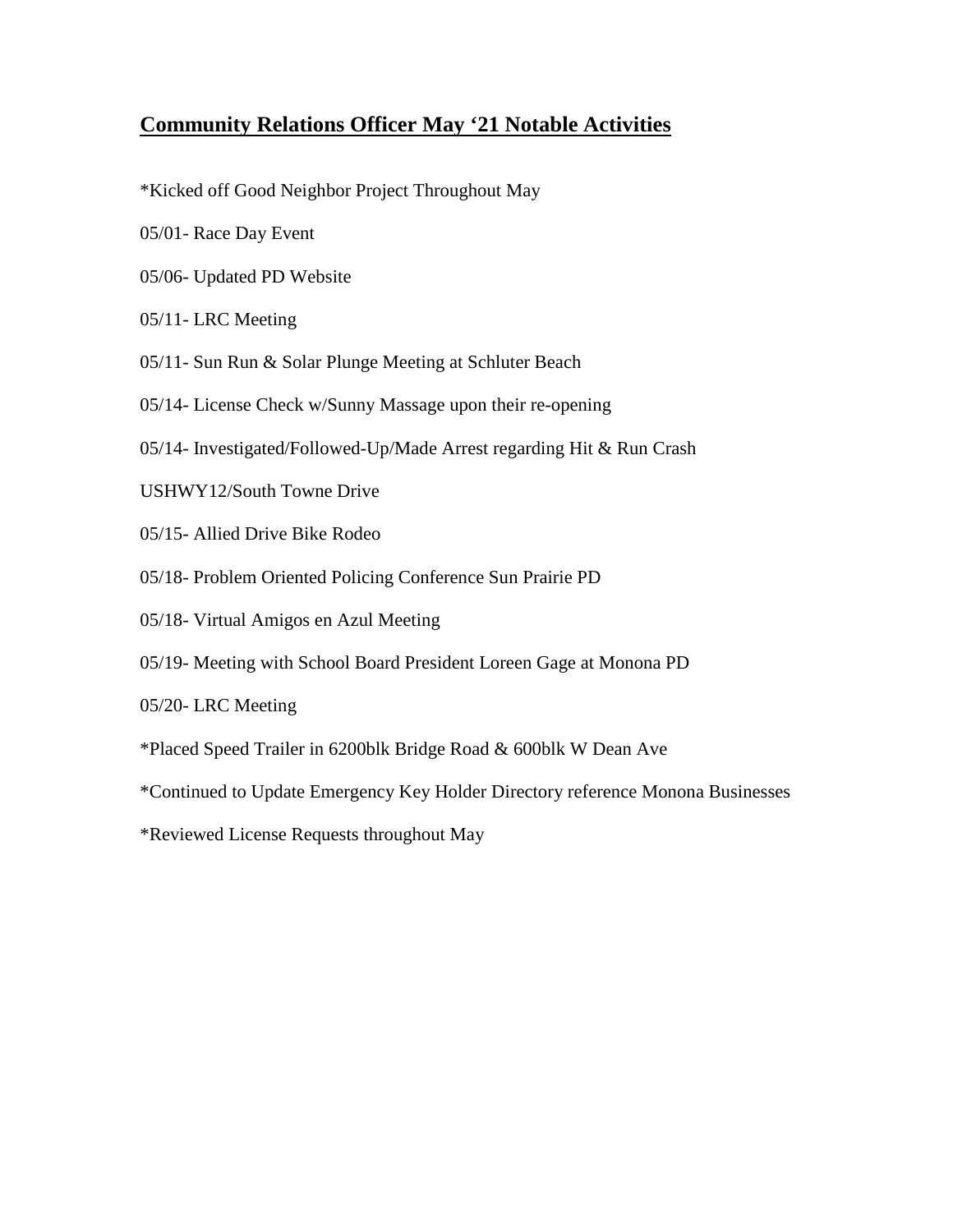# **Community Relations Officer May '21 Notable Activities**

- \*Kicked off Good Neighbor Project Throughout May
- 05/01- Race Day Event
- 05/06- Updated PD Website
- 05/11- LRC Meeting
- 05/11- Sun Run & Solar Plunge Meeting at Schluter Beach
- 05/14- License Check w/Sunny Massage upon their re-opening
- 05/14- Investigated/Followed-Up/Made Arrest regarding Hit & Run Crash
- USHWY12/South Towne Drive
- 05/15- Allied Drive Bike Rodeo
- 05/18- Problem Oriented Policing Conference Sun Prairie PD
- 05/18- Virtual Amigos en Azul Meeting
- 05/19- Meeting with School Board President Loreen Gage at Monona PD
- 05/20- LRC Meeting
- \*Placed Speed Trailer in 6200blk Bridge Road & 600blk W Dean Ave
- \*Continued to Update Emergency Key Holder Directory reference Monona Businesses
- \*Reviewed License Requests throughout May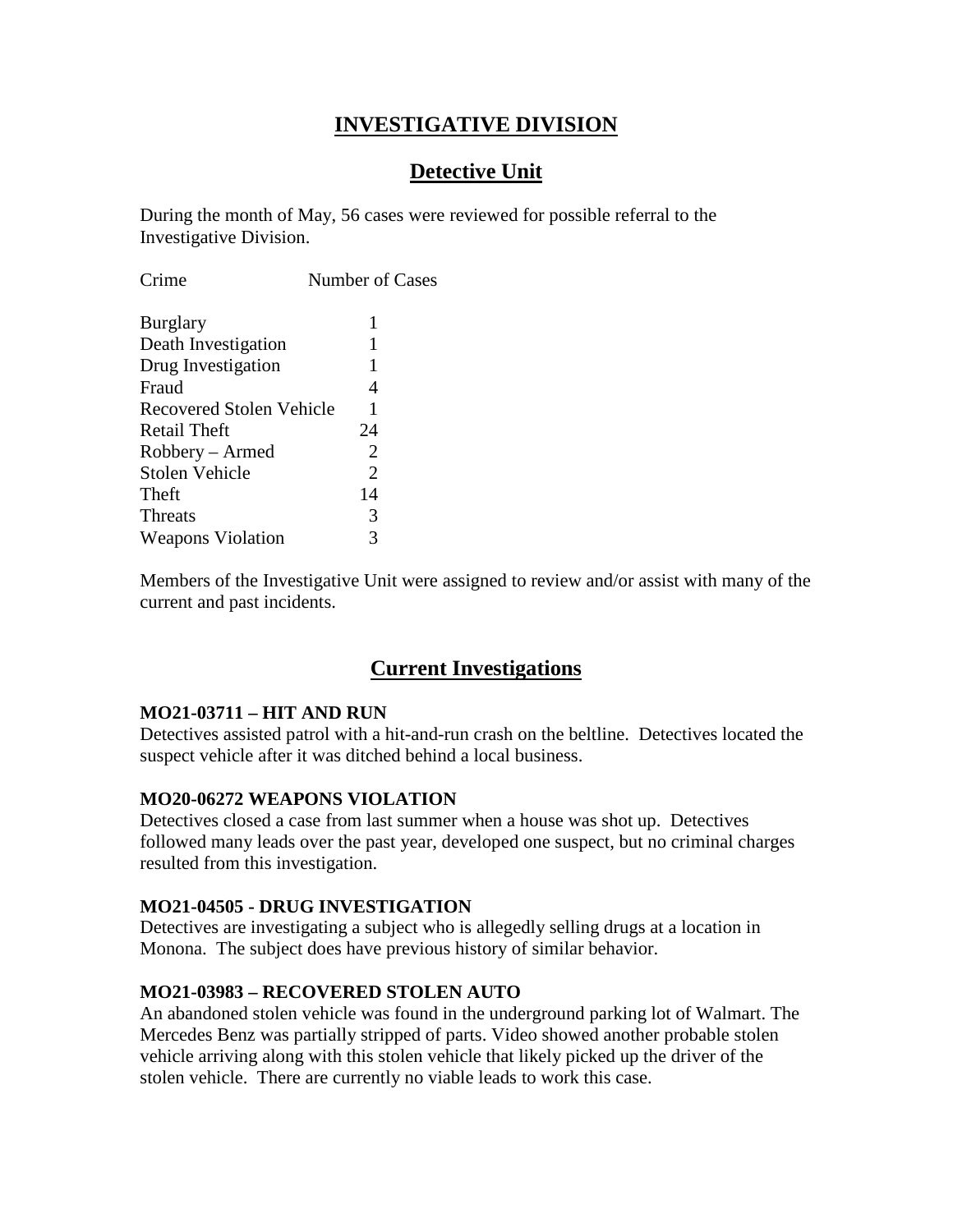# **INVESTIGATIVE DIVISION**

# **Detective Unit**

During the month of May, 56 cases were reviewed for possible referral to the Investigative Division.

| Crime                           | Number of Cases             |  |  |  |
|---------------------------------|-----------------------------|--|--|--|
| <b>Burglary</b>                 | 1                           |  |  |  |
| Death Investigation             | 1                           |  |  |  |
| Drug Investigation              | 1                           |  |  |  |
| Fraud                           | 4                           |  |  |  |
| <b>Recovered Stolen Vehicle</b> | 1                           |  |  |  |
| Retail Theft                    | 24                          |  |  |  |
| Robbery – Armed                 | 2                           |  |  |  |
| <b>Stolen Vehicle</b>           | $\mathcal{D}_{\mathcal{L}}$ |  |  |  |
| Theft                           | 14                          |  |  |  |
| <b>Threats</b>                  | 3                           |  |  |  |
| <b>Weapons Violation</b>        |                             |  |  |  |

Members of the Investigative Unit were assigned to review and/or assist with many of the current and past incidents.

### **Current Investigations**

#### **MO21-03711 – HIT AND RUN**

Detectives assisted patrol with a hit-and-run crash on the beltline. Detectives located the suspect vehicle after it was ditched behind a local business.

#### **MO20-06272 WEAPONS VIOLATION**

Detectives closed a case from last summer when a house was shot up. Detectives followed many leads over the past year, developed one suspect, but no criminal charges resulted from this investigation.

#### **MO21-04505 - DRUG INVESTIGATION**

Detectives are investigating a subject who is allegedly selling drugs at a location in Monona. The subject does have previous history of similar behavior.

#### **MO21-03983 – RECOVERED STOLEN AUTO**

An abandoned stolen vehicle was found in the underground parking lot of Walmart. The Mercedes Benz was partially stripped of parts. Video showed another probable stolen vehicle arriving along with this stolen vehicle that likely picked up the driver of the stolen vehicle. There are currently no viable leads to work this case.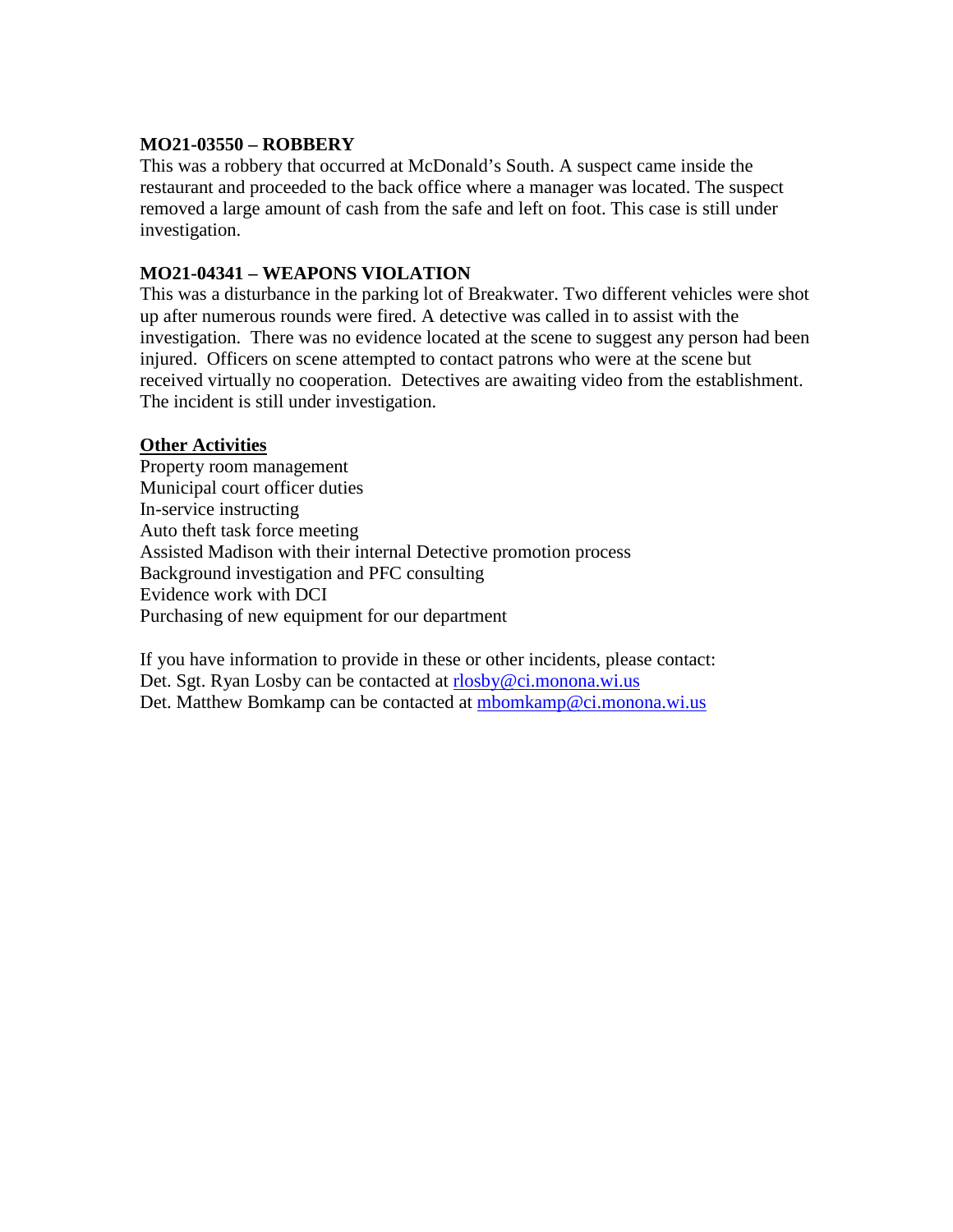#### **MO21-03550 – ROBBERY**

This was a robbery that occurred at McDonald's South. A suspect came inside the restaurant and proceeded to the back office where a manager was located. The suspect removed a large amount of cash from the safe and left on foot. This case is still under investigation.

#### **MO21-04341 – WEAPONS VIOLATION**

This was a disturbance in the parking lot of Breakwater. Two different vehicles were shot up after numerous rounds were fired. A detective was called in to assist with the investigation. There was no evidence located at the scene to suggest any person had been injured. Officers on scene attempted to contact patrons who were at the scene but received virtually no cooperation. Detectives are awaiting video from the establishment. The incident is still under investigation.

#### **Other Activities**

Property room management Municipal court officer duties In-service instructing Auto theft task force meeting Assisted Madison with their internal Detective promotion process Background investigation and PFC consulting Evidence work with DCI Purchasing of new equipment for our department

If you have information to provide in these or other incidents, please contact: Det. Sgt. Ryan Losby can be contacted at [rlosby@ci.monona.wi.us](mailto:rlosby@ci.monona.wi.us) Det. Matthew Bomkamp can be contacted at [mbomkamp@ci.monona.wi.us](mailto:mbomkamp@ci.monona.wi.us)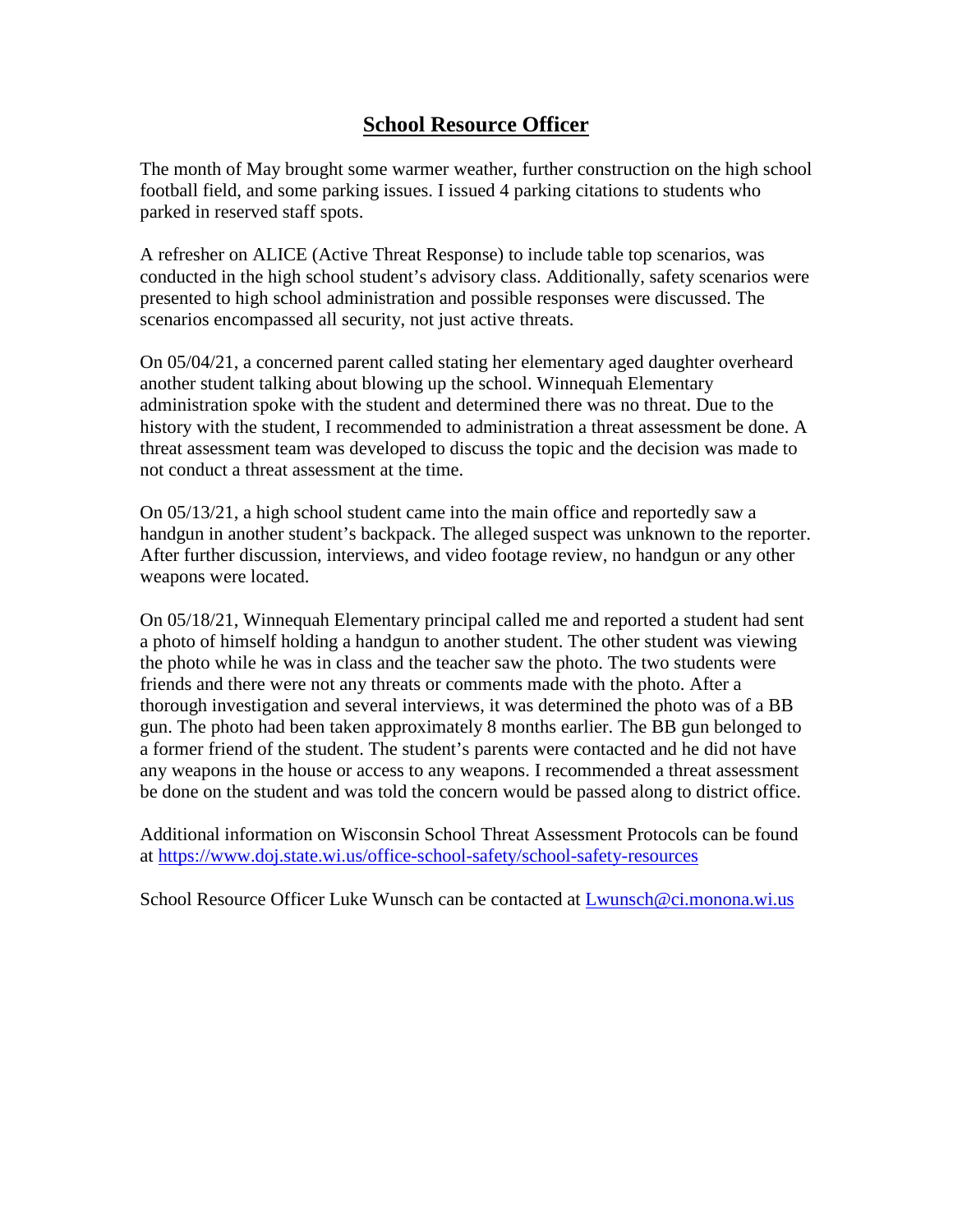# **School Resource Officer**

The month of May brought some warmer weather, further construction on the high school football field, and some parking issues. I issued 4 parking citations to students who parked in reserved staff spots.

A refresher on ALICE (Active Threat Response) to include table top scenarios, was conducted in the high school student's advisory class. Additionally, safety scenarios were presented to high school administration and possible responses were discussed. The scenarios encompassed all security, not just active threats.

On 05/04/21, a concerned parent called stating her elementary aged daughter overheard another student talking about blowing up the school. Winnequah Elementary administration spoke with the student and determined there was no threat. Due to the history with the student, I recommended to administration a threat assessment be done. A threat assessment team was developed to discuss the topic and the decision was made to not conduct a threat assessment at the time.

On 05/13/21, a high school student came into the main office and reportedly saw a handgun in another student's backpack. The alleged suspect was unknown to the reporter. After further discussion, interviews, and video footage review, no handgun or any other weapons were located.

On 05/18/21, Winnequah Elementary principal called me and reported a student had sent a photo of himself holding a handgun to another student. The other student was viewing the photo while he was in class and the teacher saw the photo. The two students were friends and there were not any threats or comments made with the photo. After a thorough investigation and several interviews, it was determined the photo was of a BB gun. The photo had been taken approximately 8 months earlier. The BB gun belonged to a former friend of the student. The student's parents were contacted and he did not have any weapons in the house or access to any weapons. I recommended a threat assessment be done on the student and was told the concern would be passed along to district office.

Additional information on Wisconsin School Threat Assessment Protocols can be found at<https://www.doj.state.wi.us/office-school-safety/school-safety-resources>

School Resource Officer Luke Wunsch can be contacted at [Lwunsch@ci.monona.wi.us](mailto:Lwunsch@ci.monona.wi.us)